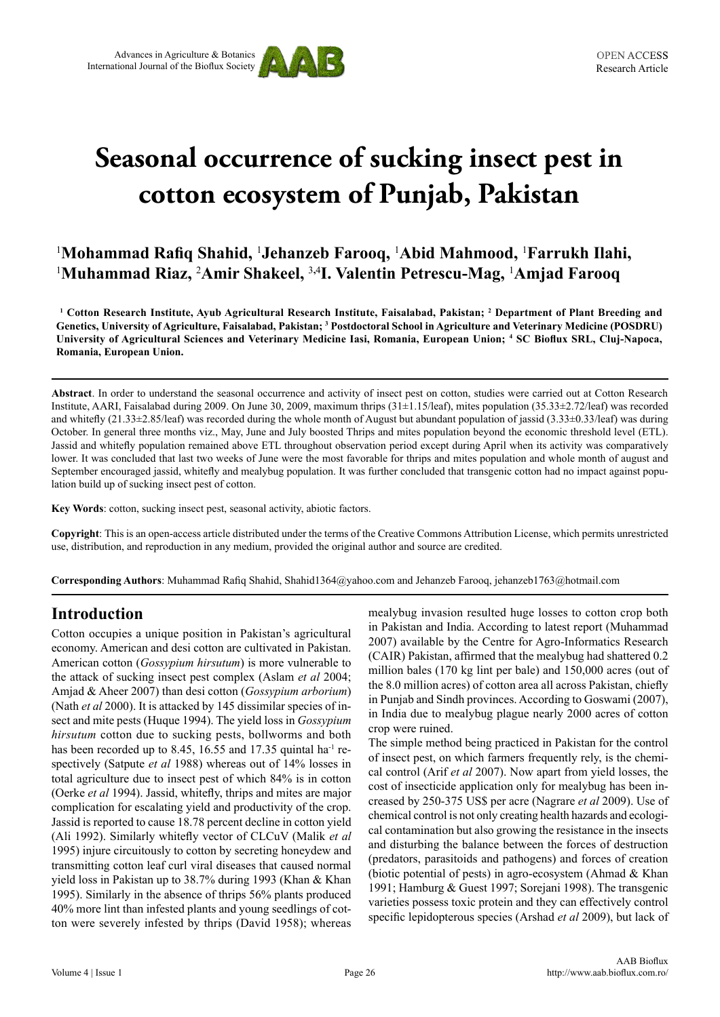



# **Seasonal occurrence of sucking insect pest in cotton ecosystem of Punjab, Pakistan**

# <sup>1</sup>Mohammad Rafiq Shahid, <sup>1</sup>Jehanzeb Farooq, <sup>1</sup>Abid Mahmood, <sup>1</sup>Farrukh Ilahi, 1 **Muhammad Riaz,** <sup>2</sup> **Amir Shakeel,** <sup>3</sup>**,**<sup>4</sup> **I. Valentin Petrescu-Mag,** <sup>1</sup> **Amjad Farooq**

**1 Cotton Research Institute, Ayub Agricultural Research Institute, Faisalabad, Pakistan; <sup>2</sup> Department of Plant Breeding and Genetics, University of Agriculture, Faisalabad, Pakistan; <sup>3</sup> Postdoctoral School in Agriculture and Veterinary Medicine (POSDRU) University of Agricultural Sciences and Veterinary Medicine Iasi, Romania, European Union; <sup>4</sup> SC Bioflux SRL, Cluj-Napoca, Romania, European Union.**

**Abstract**. In order to understand the seasonal occurrence and activity of insect pest on cotton, studies were carried out at Cotton Research Institute, AARI, Faisalabad during 2009. On June 30, 2009, maximum thrips (31±1.15/leaf), mites population (35.33±2.72/leaf) was recorded and whitefly  $(21.33\pm 2.85/\text{leaf})$  was recorded during the whole month of August but abundant population of jassid  $(3.33\pm 0.33/\text{leaf})$  was during October. In general three months viz., May, June and July boosted Thrips and mites population beyond the economic threshold level (ETL). Jassid and whitefly population remained above ETL throughout observation period except during April when its activity was comparatively lower. It was concluded that last two weeks of June were the most favorable for thrips and mites population and whole month of august and September encouraged jassid, whitefly and mealybug population. It was further concluded that transgenic cotton had no impact against population build up of sucking insect pest of cotton.

**Key Words**: cotton, sucking insect pest, seasonal activity, abiotic factors.

**Copyright**: This is an open-access article distributed under the terms of the Creative Commons Attribution License, which permits unrestricted use, distribution, and reproduction in any medium, provided the original author and source are credited.

**Corresponding Authors**: Muhammad Rafiq Shahid, Shahid1364@yahoo.com and Jehanzeb Farooq, jehanzeb1763@hotmail.com

## **Introduction**

Cotton occupies a unique position in Pakistan's agricultural economy. American and desi cotton are cultivated in Pakistan. American cotton (*Gossypium hirsutum*) is more vulnerable to the attack of sucking insect pest complex (Aslam *et al* 2004; Amjad & Aheer 2007) than desi cotton (*Gossypium arborium*) (Nath *et al* 2000). It is attacked by 145 dissimilar species of insect and mite pests (Huque 1994). The yield loss in *Gossypium hirsutum* cotton due to sucking pests, bollworms and both has been recorded up to 8.45, 16.55 and 17.35 quintal ha<sup>-1</sup> respectively (Satpute *et al* 1988) whereas out of 14% losses in total agriculture due to insect pest of which 84% is in cotton (Oerke *et al* 1994). Jassid, whitefly, thrips and mites are major complication for escalating yield and productivity of the crop. Jassid is reported to cause 18.78 percent decline in cotton yield (Ali 1992). Similarly whitefly vector of CLCuV (Malik *et al* 1995) injure circuitously to cotton by secreting honeydew and transmitting cotton leaf curl viral diseases that caused normal yield loss in Pakistan up to 38.7% during 1993 (Khan & Khan 1995). Similarly in the absence of thrips 56% plants produced 40% more lint than infested plants and young seedlings of cotton were severely infested by thrips (David 1958); whereas mealybug invasion resulted huge losses to cotton crop both in Pakistan and India. According to latest report (Muhammad 2007) available by the Centre for Agro-Informatics Research (CAIR) Pakistan, affirmed that the mealybug had shattered 0.2 million bales (170 kg lint per bale) and 150,000 acres (out of the 8.0 million acres) of cotton area all across Pakistan, chiefly in Punjab and Sindh provinces. According to Goswami (2007), in India due to mealybug plague nearly 2000 acres of cotton crop were ruined.

The simple method being practiced in Pakistan for the control of insect pest, on which farmers frequently rely, is the chemical control (Arif *et al* 2007). Now apart from yield losses, the cost of insecticide application only for mealybug has been increased by 250-375 US\$ per acre (Nagrare *et al* 2009). Use of chemical control is not only creating health hazards and ecological contamination but also growing the resistance in the insects and disturbing the balance between the forces of destruction (predators, parasitoids and pathogens) and forces of creation (biotic potential of pests) in agro-ecosystem (Ahmad & Khan 1991; Hamburg & Guest 1997; Sorejani 1998). The transgenic varieties possess toxic protein and they can effectively control specific lepidopterous species (Arshad *et al* 2009), but lack of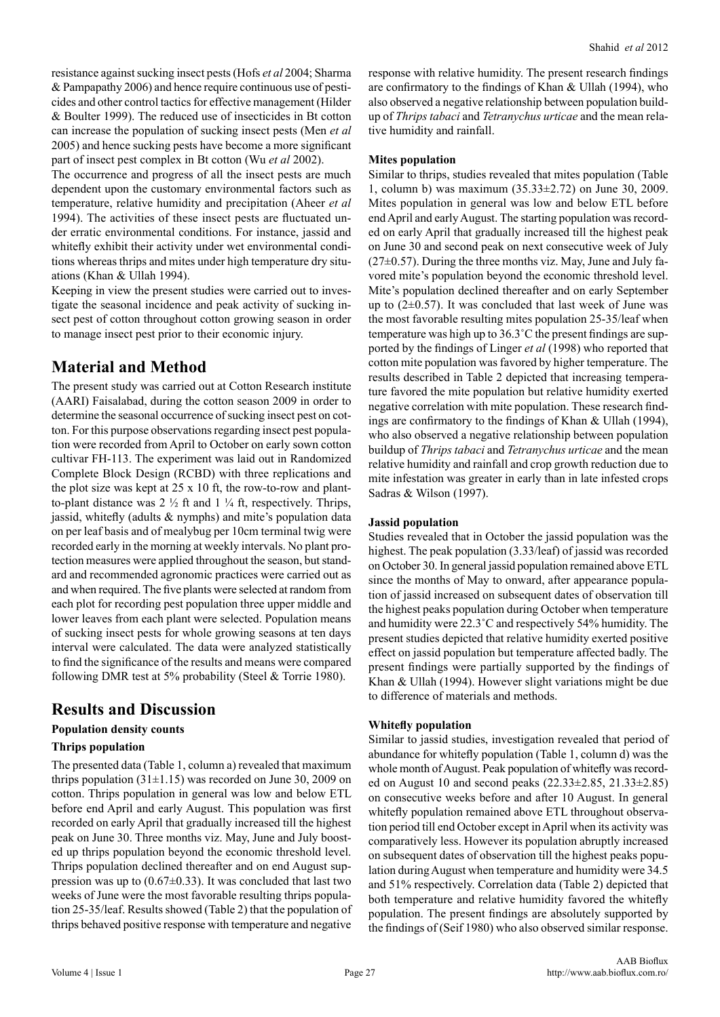resistance against sucking insect pests (Hofs *et al* 2004; Sharma & Pampapathy 2006) and hence require continuous use of pesticides and other control tactics for effective management (Hilder & Boulter 1999). The reduced use of insecticides in Bt cotton can increase the population of sucking insect pests (Men *et al* 2005) and hence sucking pests have become a more significant part of insect pest complex in Bt cotton (Wu *et al* 2002).

The occurrence and progress of all the insect pests are much dependent upon the customary environmental factors such as temperature, relative humidity and precipitation (Aheer *et al* 1994). The activities of these insect pests are fluctuated under erratic environmental conditions. For instance, jassid and whitefly exhibit their activity under wet environmental conditions whereas thrips and mites under high temperature dry situations (Khan & Ullah 1994).

Keeping in view the present studies were carried out to investigate the seasonal incidence and peak activity of sucking insect pest of cotton throughout cotton growing season in order to manage insect pest prior to their economic injury.

## **Material and Method**

The present study was carried out at Cotton Research institute (AARI) Faisalabad, during the cotton season 2009 in order to determine the seasonal occurrence of sucking insect pest on cotton. For this purpose observations regarding insect pest population were recorded from April to October on early sown cotton cultivar FH-113. The experiment was laid out in Randomized Complete Block Design (RCBD) with three replications and the plot size was kept at 25 x 10 ft, the row-to-row and plantto-plant distance was  $2 \frac{1}{2}$  ft and  $1 \frac{1}{4}$  ft, respectively. Thrips, jassid, whitefly (adults & nymphs) and mite's population data on per leaf basis and of mealybug per 10cm terminal twig were recorded early in the morning at weekly intervals. No plant protection measures were applied throughout the season, but standard and recommended agronomic practices were carried out as and when required. The five plants were selected at random from each plot for recording pest population three upper middle and lower leaves from each plant were selected. Population means of sucking insect pests for whole growing seasons at ten days interval were calculated. The data were analyzed statistically to find the significance of the results and means were compared following DMR test at 5% probability (Steel & Torrie 1980).

## **Results and Discussion**

#### **Population density counts**

#### **Thrips population**

The presented data (Table 1, column a) revealed that maximum thrips population  $(31\pm1.15)$  was recorded on June 30, 2009 on cotton. Thrips population in general was low and below ETL before end April and early August. This population was first recorded on early April that gradually increased till the highest peak on June 30. Three months viz. May, June and July boosted up thrips population beyond the economic threshold level. Thrips population declined thereafter and on end August suppression was up to  $(0.67\pm0.33)$ . It was concluded that last two weeks of June were the most favorable resulting thrips population 25-35/leaf. Results showed (Table 2) that the population of thrips behaved positive response with temperature and negative response with relative humidity. The present research findings are confirmatory to the findings of Khan & Ullah (1994), who also observed a negative relationship between population buildup of *Thrips tabaci* and *Tetranychus urticae* and the mean relative humidity and rainfall.

#### **Mites population**

Similar to thrips, studies revealed that mites population (Table 1, column b) was maximum (35.33±2.72) on June 30, 2009. Mites population in general was low and below ETL before end April and early August. The starting population was recorded on early April that gradually increased till the highest peak on June 30 and second peak on next consecutive week of July  $(27\pm0.57)$ . During the three months viz. May, June and July favored mite's population beyond the economic threshold level. Mite's population declined thereafter and on early September up to (2±0.57). It was concluded that last week of June was the most favorable resulting mites population 25-35/leaf when temperature was high up to 36.3˚C the present findings are supported by the findings of Linger *et al* (1998) who reported that cotton mite population was favored by higher temperature. The results described in Table 2 depicted that increasing temperature favored the mite population but relative humidity exerted negative correlation with mite population. These research findings are confirmatory to the findings of Khan & Ullah (1994), who also observed a negative relationship between population buildup of *Thrips tabaci* and *Tetranychus urticae* and the mean relative humidity and rainfall and crop growth reduction due to mite infestation was greater in early than in late infested crops Sadras & Wilson (1997).

#### **Jassid population**

Studies revealed that in October the jassid population was the highest. The peak population (3.33/leaf) of jassid was recorded on October 30. In general jassid population remained above ETL since the months of May to onward, after appearance population of jassid increased on subsequent dates of observation till the highest peaks population during October when temperature and humidity were 22.3˚C and respectively 54% humidity. The present studies depicted that relative humidity exerted positive effect on jassid population but temperature affected badly. The present findings were partially supported by the findings of Khan & Ullah (1994). However slight variations might be due to difference of materials and methods.

#### **Whitefly population**

Similar to jassid studies, investigation revealed that period of abundance for whitefly population (Table 1, column d) was the whole month of August. Peak population of whitefly was recorded on August 10 and second peaks (22.33±2.85, 21.33±2.85) on consecutive weeks before and after 10 August. In general whitefly population remained above ETL throughout observation period till end October except in April when its activity was comparatively less. However its population abruptly increased on subsequent dates of observation till the highest peaks population during August when temperature and humidity were 34.5 and 51% respectively. Correlation data (Table 2) depicted that both temperature and relative humidity favored the whitefly population. The present findings are absolutely supported by the findings of (Seif 1980) who also observed similar response.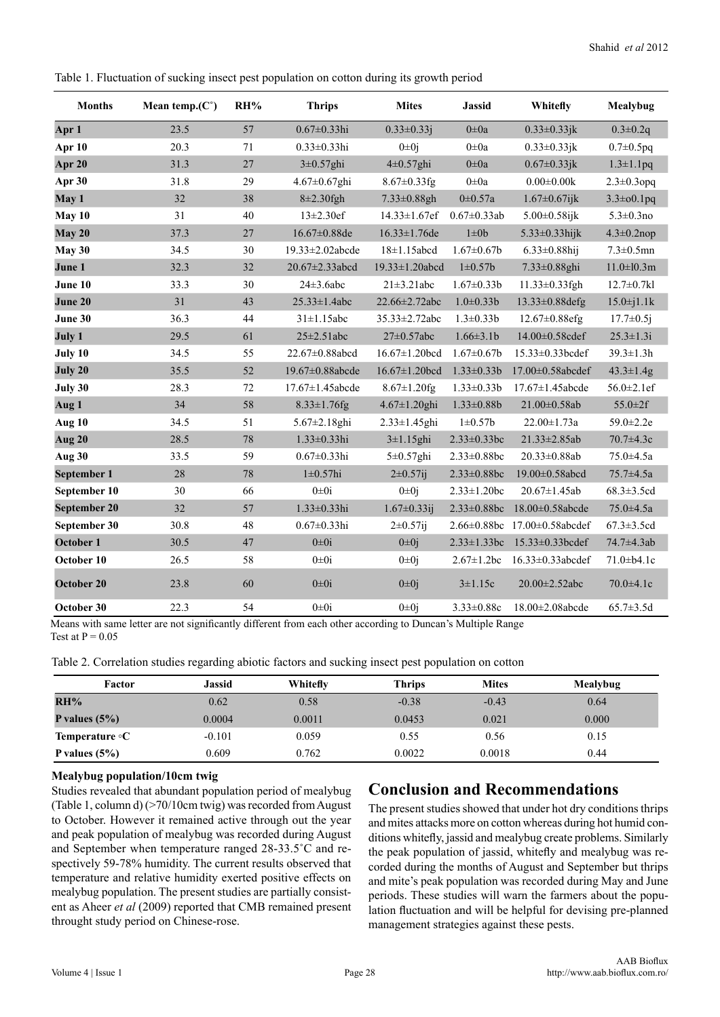Table 1. Fluctuation of sucking insect pest population on cotton during its growth period

| <b>Months</b> | Mean temp. $(C^{\circ})$ | RH% | <b>Thrips</b>          | <b>Mites</b>         | <b>Jassid</b>      | Whitefly                | Mealybug          |
|---------------|--------------------------|-----|------------------------|----------------------|--------------------|-------------------------|-------------------|
| Apr 1         | 23.5                     | 57  | $0.67 \pm 0.33$ hi     | $0.33 \pm 0.33j$     | $0\pm 0a$          | $0.33 \pm 0.33$ jk      | $0.3 \pm 0.2q$    |
| Apr 10        | 20.3                     | 71  | $0.33 \pm 0.33$ hi     | $0\pm 0j$            | $0\pm 0a$          | $0.33 \pm 0.33$ jk      | $0.7 \pm 0.5$ pq  |
| Apr 20        | 31.3                     | 27  | $3\pm0.57$ ghi         | $4\pm 0.57$ ghi      | $0\pm 0a$          | $0.67 \pm 0.33$ jk      | $1.3 \pm 1.1$ pq  |
| Apr 30        | 31.8                     | 29  | $4.67 \pm 0.67$ ghi    | 8.67±0.33fg          | $0\pm 0a$          | $0.00 \pm 0.00k$        | $2.3 \pm 0.3$ opq |
| May 1         | 32                       | 38  | $8\pm2.30$ fgh         | 7.33±0.88gh          | $0 \pm 0.57a$      | $1.67 \pm 0.67$ ijk     | $3.3 \pm 0.1$ pq  |
| May 10        | 31                       | 40  | $13 \pm 2.30$ ef       | $14.33 \pm 1.67$ ef  | $0.67 \pm 0.33$ ab | $5.00 \pm 0.58$ ijk     | $5.3 \pm 0.3$ no  |
| May 20        | 37.3                     | 27  | 16.67±0.88de           | 16.33±1.76de         | $1\pm 0b$          | 5.33±0.33hijk           | $4.3 \pm 0.2$ nop |
| May 30        | 34.5                     | 30  | 19.33±2.02abcde        | $18 \pm 1.15$ abcd   | $1.67 \pm 0.67$    | $6.33 \pm 0.88$ hij     | $7.3 \pm 0.5$ mn  |
| June 1        | 32.3                     | 32  | $20.67 \pm 2.33$ abcd  | 19.33±1.20abcd       | $1 \pm 0.57$ b     | 7.33±0.88ghi            | $11.0 \pm 10.3$ m |
| June 10       | 33.3                     | 30  | $24\pm3.6abc$          | $21 \pm 3.21$ abc    | $1.67 \pm 0.33b$   | 11.33±0.33fgh           | $12.7 \pm 0.7$ kl |
| June 20       | 31                       | 43  | $25.33 \pm 1.4abc$     | 22.66±2.72abc        | $1.0 \pm 0.33 b$   | 13.33±0.88defg          | $15.0 \pm j1.1k$  |
| June 30       | 36.3                     | 44  | $31\pm1.15$ abc        | $35.33 \pm 2.72$ abc | $1.3 \pm 0.33 b$   | $12.67 \pm 0.88$ efg    | $17.7 \pm 0.5$ j  |
| July 1        | 29.5                     | 61  | $25 \pm 2.51$ abc      | $27 \pm 0.57$ abc    | $1.66 \pm 3.1b$    | 14.00±0.58cdef          | $25.3 \pm 1.3i$   |
| July 10       | 34.5                     | 55  | 22.67±0.88abcd         | 16.67±1.20bcd        | $1.67 \pm 0.67$    | 15.33±0.33bcdef         | $39.3 \pm 1.3 h$  |
| July 20       | 35.5                     | 52  | 19.67±0.88abcde        | 16.67±1.20bcd        | $1.33 \pm 0.33 b$  | 17.00±0.58abcdef        | $43.3 \pm 1.4$ g  |
| July 30       | 28.3                     | 72  | $17.67 \pm 1.45$ abcde | $8.67 \pm 1.20$ fg   | $1.33 \pm 0.33 b$  | 17.67±1.45abcde         | 56.0±2.1ef        |
| Aug 1         | 34                       | 58  | $8.33 \pm 1.76$ fg     | 4.67±1.20ghi         | $1.33 \pm 0.88b$   | 21.00±0.58ab            | $55.0 \pm 2f$     |
| Aug 10        | 34.5                     | 51  | 5.67±2.18ghi           | $2.33 \pm 1.45$ ghi  | $1 \pm 0.57$ b     | $22.00 \pm 1.73a$       | 59.0±2.2e         |
| Aug 20        | 28.5                     | 78  | $1.33 \pm 0.33$ hi     | $3\pm1.15$ ghi       | $2.33 \pm 0.33$ bc | 21.33±2.85ab            | $70.7 \pm 4.3c$   |
| Aug 30        | 33.5                     | 59  | $0.67 \pm 0.33$ hi     | 5±0.57ghi            | $2.33 \pm 0.88$ bc | $20.33 \pm 0.88$ ab     | $75.0 \pm 4.5a$   |
| September 1   | 28                       | 78  | $1\pm0.57$ hi          | $2\pm 0.57$ ij       | $2.33 \pm 0.88$ bc | 19.00±0.58abcd          | 75.7±4.5a         |
| September 10  | 30                       | 66  | $0\pm 0i$              | $0\pm 0j$            | $2.33 \pm 1.20$ bc | $20.67 \pm 1.45$ ab     | $68.3 \pm 3.5$ cd |
| September 20  | 32                       | 57  | 1.33±0.33hi            | $1.67 \pm 0.33$ ij   | $2.33 \pm 0.88$ bc | 18.00±0.58abcde         | $75.0 \pm 4.5a$   |
| September 30  | 30.8                     | 48  | $0.67 \pm 0.33$ hi     | $2\pm 0.57$ ij       | $2.66 \pm 0.88$ bc | $17.00 \pm 0.58$ abcdef | $67.3 \pm 3.5$ cd |
| October 1     | 30.5                     | 47  | $0\pm 0i$              | $0 \pm 0j$           | $2.33 \pm 1.33$ bc | 15.33±0.33bcdef         | 74.7±4.3ab        |
| October 10    | 26.5                     | 58  | $0\pm 0i$              | $0\pm 0i$            | $2.67 \pm 1.2$ bc  | 16.33±0.33abcdef        | $71.0 + b4.1c$    |
| October 20    | 23.8                     | 60  | $0\pm 0i$              | $0\pm 0j$            | $3 \pm 1.15c$      | 20.00±2.52abc           | 70.0±4.1c         |
| October 30    | 22.3                     | 54  | $0\pm 0i$              | $0\pm 0j$            | $3.33 \pm 0.88c$   | 18.00±2.08abcde         | $65.7 \pm 3.5d$   |

Means with same letter are not significantly different from each other according to Duncan's Multiple Range Test at  $P = 0.05$ 

Table 2. Correlation studies regarding abiotic factors and sucking insect pest population on cotton

| Factor                | <b>Jassid</b> | Whitefly | <b>Thrips</b> | <b>Mites</b> | Mealybug |
|-----------------------|---------------|----------|---------------|--------------|----------|
| RH%                   | 0.62          | 0.58     | $-0.38$       | $-0.43$      | 0.64     |
| P values $(5%)$       | 0.0004        | 0.0011   | 0.0453        | 0.021        | 0.000    |
| Temperature $\circ$ C | $-0.101$      | 0.059    | 0.55          | 0.56         | 0.15     |
| P values $(5\%)$      | 0.609         | 0.762    | 0.0022        | 0.0018       | 0.44     |

#### **Mealybug population/10cm twig**

Studies revealed that abundant population period of mealybug (Table 1, column d) (>70/10cm twig) was recorded from August to October. However it remained active through out the year and peak population of mealybug was recorded during August and September when temperature ranged 28-33.5˚C and respectively 59-78% humidity. The current results observed that temperature and relative humidity exerted positive effects on mealybug population. The present studies are partially consistent as Aheer *et al* (2009) reported that CMB remained present throught study period on Chinese-rose.

## **Conclusion and Recommendations**

The present studies showed that under hot dry conditions thrips and mites attacks more on cotton whereas during hot humid conditions whitefly, jassid and mealybug create problems. Similarly the peak population of jassid, whitefly and mealybug was recorded during the months of August and September but thrips and mite's peak population was recorded during May and June periods. These studies will warn the farmers about the population fluctuation and will be helpful for devising pre-planned management strategies against these pests.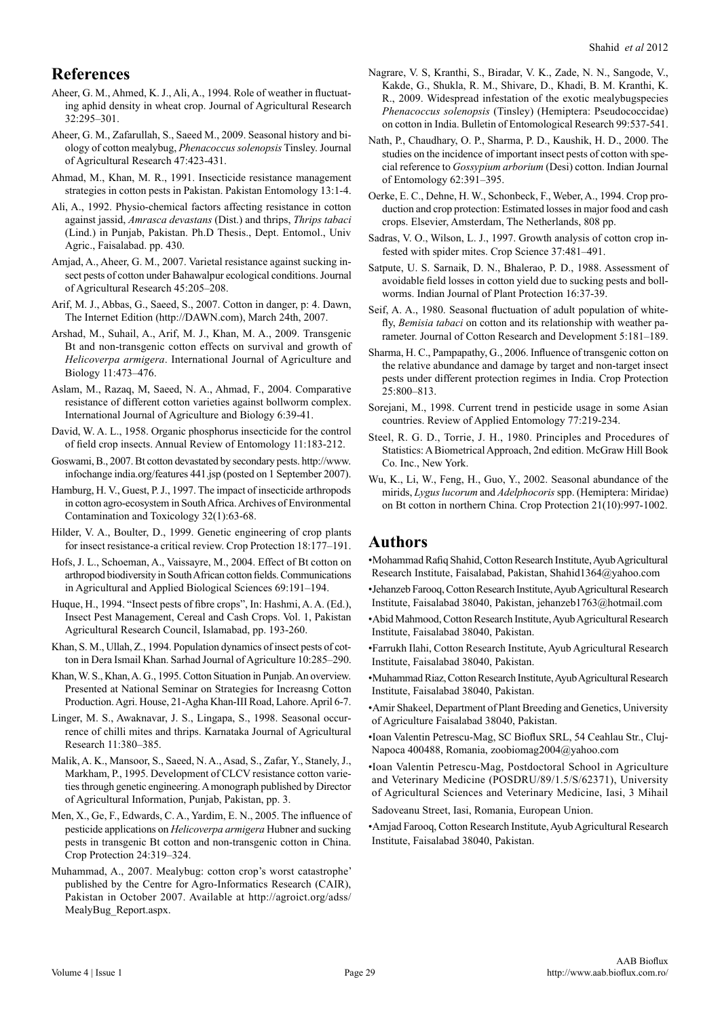## **References**

- Aheer, G. M., Ahmed, K. J., Ali, A., 1994. Role of weather in fluctuating aphid density in wheat crop. Journal of Agricultural Research 32:295–301.
- Aheer, G. M., Zafarullah, S., Saeed M., 2009. Seasonal history and biology of cotton mealybug, *Phenacoccus solenopsis* Tinsley. Journal of Agricultural Research 47:423-431.
- Ahmad, M., Khan, M. R., 1991. Insecticide resistance management strategies in cotton pests in Pakistan. Pakistan Entomology 13:1-4.
- Ali, A., 1992. Physio-chemical factors affecting resistance in cotton against jassid, *Amrasca devastans* (Dist.) and thrips, *Thrips tabaci* (Lind.) in Punjab, Pakistan. Ph.D Thesis., Dept. Entomol., Univ Agric., Faisalabad. pp. 430.
- Amjad, A., Aheer, G. M., 2007. Varietal resistance against sucking insect pests of cotton under Bahawalpur ecological conditions. Journal of Agricultural Research 45:205–208.
- Arif, M. J., Abbas, G., Saeed, S., 2007. Cotton in danger, p: 4. Dawn, The Internet Edition (http://DAWN.com), March 24th, 2007.
- Arshad, M., Suhail, A., Arif, M. J., Khan, M. A., 2009. Transgenic Bt and non-transgenic cotton effects on survival and growth of *Helicoverpa armigera*. International Journal of Agriculture and Biology 11:473–476.
- Aslam, M., Razaq, M, Saeed, N. A., Ahmad, F., 2004. Comparative resistance of different cotton varieties against bollworm complex. International Journal of Agriculture and Biology 6:39-41.
- David, W. A. L., 1958. Organic phosphorus insecticide for the control of field crop insects. Annual Review of Entomology 11:183-212.
- Goswami, B., 2007. Bt cotton devastated by secondary pests. http://www. infochange india.org/features 441.jsp (posted on 1 September 2007).
- Hamburg, H. V., Guest, P. J., 1997. The impact of insecticide arthropods in cotton agro-ecosystem in South Africa. Archives of Environmental Contamination and Toxicology 32(1):63-68.
- Hilder, V. A., Boulter, D., 1999. Genetic engineering of crop plants for insect resistance-a critical review. Crop Protection 18:177–191.
- Hofs, J. L., Schoeman, A., Vaissayre, M., 2004. Effect of Bt cotton on arthropod biodiversity in South African cotton fields. Communications in Agricultural and Applied Biological Sciences 69:191–194.
- Huque, H., 1994. "Insect pests of fibre crops", In: Hashmi, A. A. (Ed.), Insect Pest Management, Cereal and Cash Crops. Vol. 1, Pakistan Agricultural Research Council, Islamabad, pp. 193-260.
- Khan, S. M., Ullah, Z., 1994. Population dynamics of insect pests of cotton in Dera Ismail Khan. Sarhad Journal of Agriculture 10:285–290.
- Khan, W. S., Khan, A. G., 1995. Cotton Situation in Punjab. An overview. Presented at National Seminar on Strategies for Increasng Cotton Production. Agri. House, 21-Agha Khan-III Road, Lahore. April 6-7.
- Linger, M. S., Awaknavar, J. S., Lingapa, S., 1998. Seasonal occurrence of chilli mites and thrips. Karnataka Journal of Agricultural Research 11:380–385.
- Malik, A. K., Mansoor, S., Saeed, N. A., Asad, S., Zafar, Y., Stanely, J., Markham, P., 1995. Development of CLCV resistance cotton varieties through genetic engineering. A monograph published by Director of Agricultural Information, Punjab, Pakistan, pp. 3.
- Men, X., Ge, F., Edwards, C. A., Yardim, E. N., 2005. The influence of pesticide applications on *Helicoverpa armigera* Hubner and sucking pests in transgenic Bt cotton and non-transgenic cotton in China. Crop Protection 24:319–324.
- Muhammad, A., 2007. Mealybug: cotton crop's worst catastrophe' published by the Centre for Agro-Informatics Research (CAIR), Pakistan in October 2007. Available at http://agroict.org/adss/ MealyBug\_Report.aspx.
- Nagrare, V. S, Kranthi, S., Biradar, V. K., Zade, N. N., Sangode, V., Kakde, G., Shukla, R. M., Shivare, D., Khadi, B. M. Kranthi, K. R., 2009. Widespread infestation of the exotic mealybugspecies *Phenacoccus solenopsis* (Tinsley) (Hemiptera: Pseudococcidae) on cotton in India. Bulletin of Entomological Research 99:537-541.
- Nath, P., Chaudhary, O. P., Sharma, P. D., Kaushik, H. D., 2000. The studies on the incidence of important insect pests of cotton with special reference to *Gossypium arborium* (Desi) cotton. Indian Journal of Entomology 62:391–395.
- Oerke, E. C., Dehne, H. W., Schonbeck, F., Weber, A., 1994. Crop production and crop protection: Estimated losses in major food and cash crops. Elsevier, Amsterdam, The Netherlands, 808 pp.
- Sadras, V. O., Wilson, L. J., 1997. Growth analysis of cotton crop infested with spider mites. Crop Science 37:481–491.
- Satpute, U. S. Sarnaik, D. N., Bhalerao, P. D., 1988. Assessment of avoidable field losses in cotton yield due to sucking pests and bollworms. Indian Journal of Plant Protection 16:37-39.
- Seif, A. A., 1980. Seasonal fluctuation of adult population of whitefly, *Bemisia tabaci* on cotton and its relationship with weather parameter. Journal of Cotton Research and Development 5:181–189.
- Sharma, H. C., Pampapathy, G., 2006. Influence of transgenic cotton on the relative abundance and damage by target and non-target insect pests under different protection regimes in India. Crop Protection 25:800–813.
- Sorejani, M., 1998. Current trend in pesticide usage in some Asian countries. Review of Applied Entomology 77:219-234.
- Steel, R. G. D., Torrie, J. H., 1980. Principles and Procedures of Statistics: A Biometrical Approach, 2nd edition. McGraw Hill Book Co. Inc., New York.
- Wu, K., Li, W., Feng, H., Guo, Y., 2002. Seasonal abundance of the mirids, *Lygus lucorum* and *Adelphocoris* spp. (Hemiptera: Miridae) on Bt cotton in northern China. Crop Protection 21(10):997-1002.

## **Authors**

•Mohammad Rafiq Shahid, Cotton Research Institute, Ayub Agricultural Research Institute, Faisalabad, Pakistan, Shahid1364@yahoo.com

- •Jehanzeb Farooq, Cotton Research Institute, Ayub Agricultural Research Institute, Faisalabad 38040, Pakistan, jehanzeb1763@hotmail.com
- •Abid Mahmood, Cotton Research Institute, Ayub Agricultural Research Institute, Faisalabad 38040, Pakistan.
- •Farrukh Ilahi, Cotton Research Institute, Ayub Agricultural Research Institute, Faisalabad 38040, Pakistan.
- •Muhammad Riaz, Cotton Research Institute, Ayub Agricultural Research Institute, Faisalabad 38040, Pakistan.
- •Amir Shakeel, Department of Plant Breeding and Genetics, University of Agriculture Faisalabad 38040, Pakistan.
- •Ioan Valentin Petrescu-Mag, SC Bioflux SRL, 54 Ceahlau Str., Cluj-Napoca 400488, Romania, zoobiomag2004@yahoo.com
- •Ioan Valentin Petrescu-Mag, Postdoctoral School in Agriculture and Veterinary Medicine (POSDRU/89/1.5/S/62371), University of Agricultural Sciences and Veterinary Medicine, Iasi, 3 Mihail
- Sadoveanu Street, Iasi, Romania, European Union.
- •Amjad Farooq, Cotton Research Institute, Ayub Agricultural Research Institute, Faisalabad 38040, Pakistan.